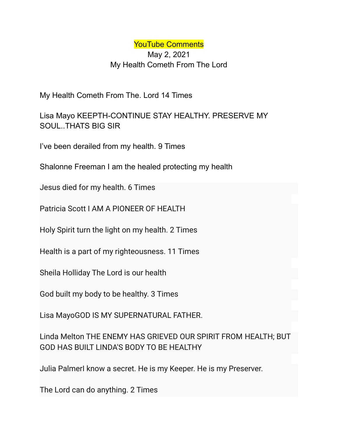YouTube Comments May 2, 2021 My Health Cometh From The Lord

My Health Cometh From The. Lord 14 Times

Lisa Mayo KEEPTH-CONTINUE STAY HEALTHY. PRESERVE MY SOUL..THATS BIG SIR

I've been derailed from my health. 9 Times

Shalonne Freeman I am the healed protecting my health

Jesus died for my health. 6 Times

Patricia Scott I AM A PIONEER OF HEALTH

Holy Spirit turn the light on my health. 2 Times

Health is a part of my righteousness. 11 Times

Sheila Holliday The Lord is our health

God built my body to be healthy. 3 Times

Lisa MayoGOD IS MY SUPERNATURAL FATHER.

Linda Melton THE ENEMY HAS GRIEVED OUR SPIRIT FROM HEALTH; BUT GOD HAS BUILT LINDA'S BODY TO BE HEALTHY

Julia PalmerI know a secret. He is my Keeper. He is my Preserver.

The Lord can do anything. 2 Times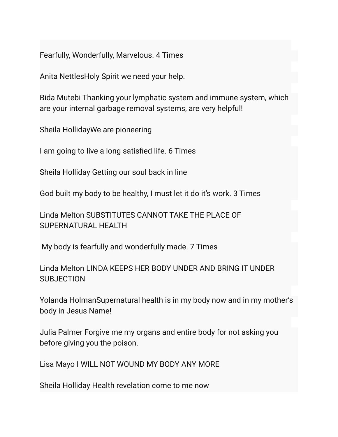Fearfully, Wonderfully, Marvelous. 4 Times

Anita NettlesHoly Spirit we need your help.

Bida Mutebi Thanking your lymphatic system and immune system, which are your internal garbage removal systems, are very helpful!

Sheila HollidayWe are pioneering

I am going to live a long satisfied life. 6 Times

Sheila Holliday Getting our soul back in line

God built my body to be healthy, I must let it do it's work. 3 Times

Linda Melton SUBSTITUTES CANNOT TAKE THE PLACE OF SUPERNATURAL HEALTH

My body is fearfully and wonderfully made. 7 Times

Linda Melton LINDA KEEPS HER BODY UNDER AND BRING IT UNDER SUBJECTION

Yolanda HolmanSupernatural health is in my body now and in my mother's body in Jesus Name!

Julia Palmer Forgive me my organs and entire body for not asking you before giving you the poison.

Lisa Mayo I WILL NOT WOUND MY BODY ANY MORE

Sheila Holliday Health revelation come to me now